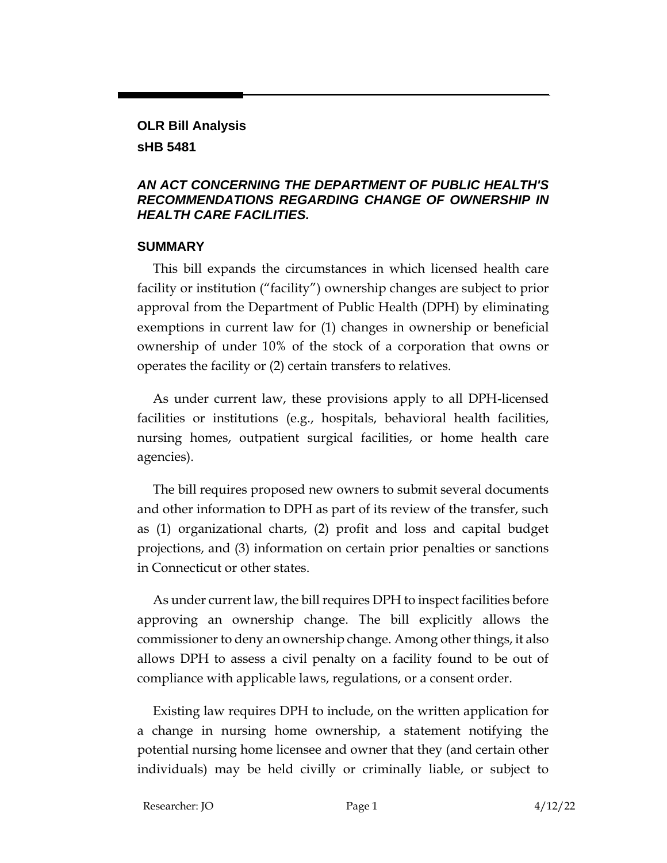# **OLR Bill Analysis**

#### **sHB 5481**

#### *AN ACT CONCERNING THE DEPARTMENT OF PUBLIC HEALTH'S RECOMMENDATIONS REGARDING CHANGE OF OWNERSHIP IN HEALTH CARE FACILITIES.*

#### **SUMMARY**

This bill expands the circumstances in which licensed health care facility or institution ("facility") ownership changes are subject to prior approval from the Department of Public Health (DPH) by eliminating exemptions in current law for (1) changes in ownership or beneficial ownership of under 10% of the stock of a corporation that owns or operates the facility or (2) certain transfers to relatives.

As under current law, these provisions apply to all DPH-licensed facilities or institutions (e.g., hospitals, behavioral health facilities, nursing homes, outpatient surgical facilities, or home health care agencies).

The bill requires proposed new owners to submit several documents and other information to DPH as part of its review of the transfer, such as (1) organizational charts, (2) profit and loss and capital budget projections, and (3) information on certain prior penalties or sanctions in Connecticut or other states.

As under current law, the bill requires DPH to inspect facilities before approving an ownership change. The bill explicitly allows the commissioner to deny an ownership change. Among other things, it also allows DPH to assess a civil penalty on a facility found to be out of compliance with applicable laws, regulations, or a consent order.

Existing law requires DPH to include, on the written application for a change in nursing home ownership, a statement notifying the potential nursing home licensee and owner that they (and certain other individuals) may be held civilly or criminally liable, or subject to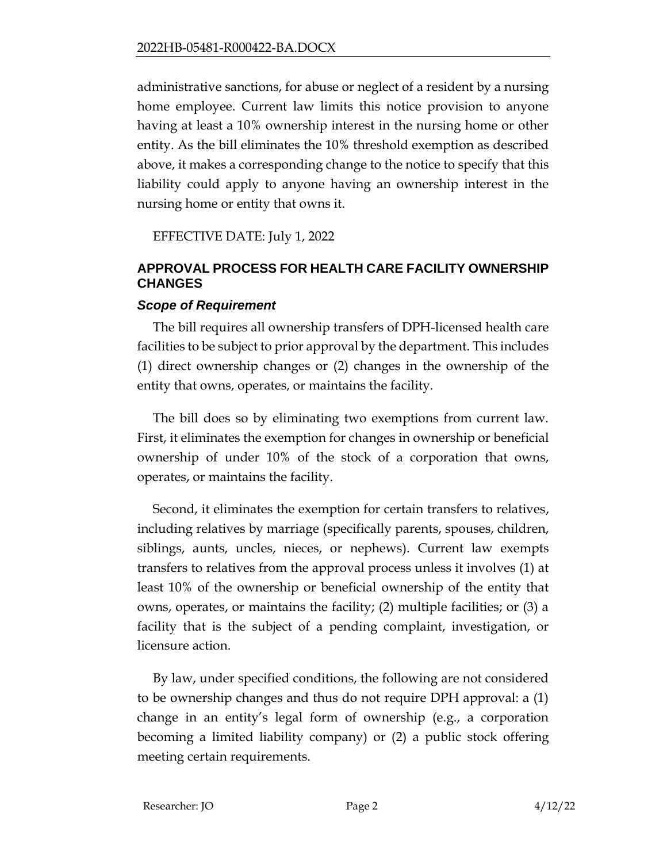administrative sanctions, for abuse or neglect of a resident by a nursing home employee. Current law limits this notice provision to anyone having at least a 10% ownership interest in the nursing home or other entity. As the bill eliminates the 10% threshold exemption as described above, it makes a corresponding change to the notice to specify that this liability could apply to anyone having an ownership interest in the nursing home or entity that owns it.

EFFECTIVE DATE: July 1, 2022

### **APPROVAL PROCESS FOR HEALTH CARE FACILITY OWNERSHIP CHANGES**

#### *Scope of Requirement*

The bill requires all ownership transfers of DPH-licensed health care facilities to be subject to prior approval by the department. This includes (1) direct ownership changes or (2) changes in the ownership of the entity that owns, operates, or maintains the facility.

The bill does so by eliminating two exemptions from current law. First, it eliminates the exemption for changes in ownership or beneficial ownership of under 10% of the stock of a corporation that owns, operates, or maintains the facility.

Second, it eliminates the exemption for certain transfers to relatives, including relatives by marriage (specifically parents, spouses, children, siblings, aunts, uncles, nieces, or nephews). Current law exempts transfers to relatives from the approval process unless it involves (1) at least 10% of the ownership or beneficial ownership of the entity that owns, operates, or maintains the facility; (2) multiple facilities; or (3) a facility that is the subject of a pending complaint, investigation, or licensure action.

By law, under specified conditions, the following are not considered to be ownership changes and thus do not require DPH approval: a (1) change in an entity's legal form of ownership (e.g., a corporation becoming a limited liability company) or (2) a public stock offering meeting certain requirements.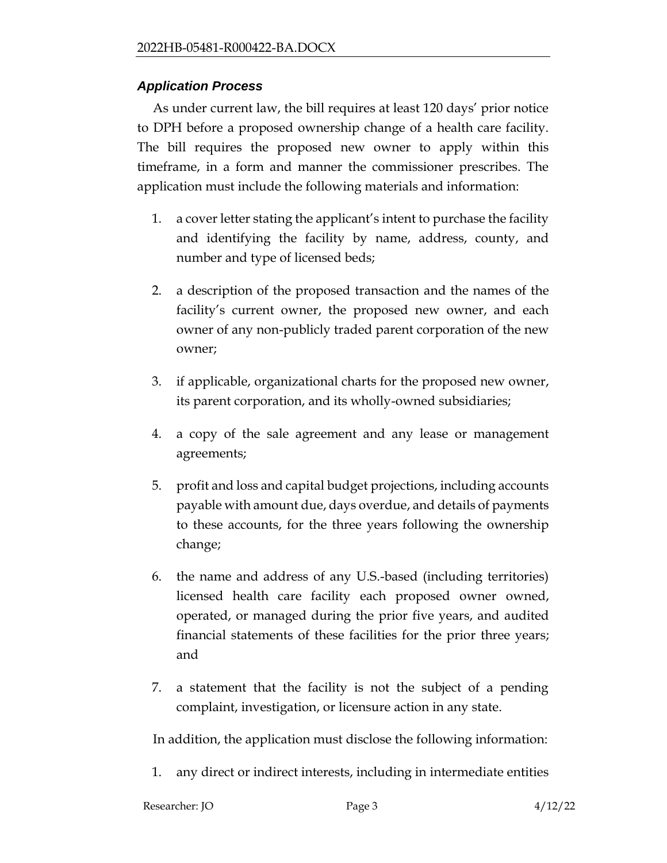### *Application Process*

As under current law, the bill requires at least 120 days' prior notice to DPH before a proposed ownership change of a health care facility. The bill requires the proposed new owner to apply within this timeframe, in a form and manner the commissioner prescribes. The application must include the following materials and information:

- 1. a cover letter stating the applicant's intent to purchase the facility and identifying the facility by name, address, county, and number and type of licensed beds;
- 2. a description of the proposed transaction and the names of the facility's current owner, the proposed new owner, and each owner of any non-publicly traded parent corporation of the new owner;
- 3. if applicable, organizational charts for the proposed new owner, its parent corporation, and its wholly-owned subsidiaries;
- 4. a copy of the sale agreement and any lease or management agreements;
- 5. profit and loss and capital budget projections, including accounts payable with amount due, days overdue, and details of payments to these accounts, for the three years following the ownership change;
- 6. the name and address of any U.S.-based (including territories) licensed health care facility each proposed owner owned, operated, or managed during the prior five years, and audited financial statements of these facilities for the prior three years; and
- 7. a statement that the facility is not the subject of a pending complaint, investigation, or licensure action in any state.

In addition, the application must disclose the following information:

1. any direct or indirect interests, including in intermediate entities

| Researcher: JO | Page 3 | 4/12/22 |
|----------------|--------|---------|
|                |        |         |